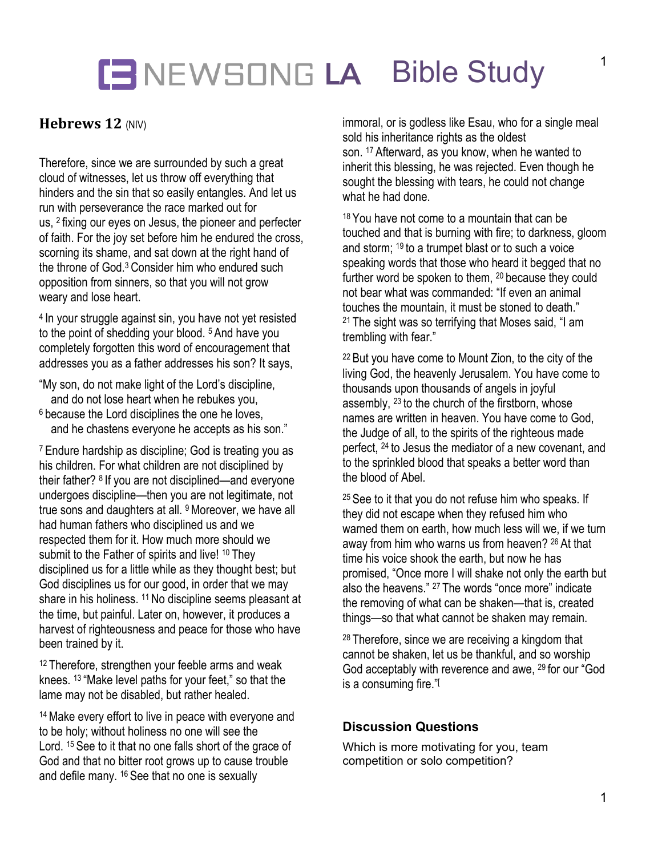## **LE NEWSONG LA Bible Study**

### **Hebrews 12** (NIV)

Therefore, since we are surrounded by such a great cloud of witnesses, let us throw off everything that hinders and the sin that so easily entangles. And let us run with perseverance the race marked out for us, <sup>2</sup> fixing our eyes on Jesus, the pioneer and perfecter of faith. For the joy set before him he endured the cross, scorning its shame, and sat down at the right hand of the throne of God.3 Consider him who endured such opposition from sinners, so that you will not grow weary and lose heart.

<sup>4</sup> In your struggle against sin, you have not yet resisted to the point of shedding your blood. <sup>5</sup> And have you completely forgotten this word of encouragement that addresses you as a father addresses his son? It says,

- "My son, do not make light of the Lord's discipline, and do not lose heart when he rebukes you,
- <sup>6</sup> because the Lord disciplines the one he loves. and he chastens everyone he accepts as his son."

<sup>7</sup> Endure hardship as discipline; God is treating you as his children. For what children are not disciplined by their father? <sup>8</sup> If you are not disciplined—and everyone undergoes discipline—then you are not legitimate, not true sons and daughters at all. 9Moreover, we have all had human fathers who disciplined us and we respected them for it. How much more should we submit to the Father of spirits and live! <sup>10</sup> They disciplined us for a little while as they thought best; but God disciplines us for our good, in order that we may share in his holiness. <sup>11</sup> No discipline seems pleasant at the time, but painful. Later on, however, it produces a harvest of righteousness and peace for those who have been trained by it.

<sup>12</sup> Therefore, strengthen your feeble arms and weak knees. <sup>13</sup> "Make level paths for your feet," so that the lame may not be disabled, but rather healed.

<sup>14</sup> Make every effort to live in peace with everyone and to be holy; without holiness no one will see the Lord. <sup>15</sup> See to it that no one falls short of the grace of God and that no bitter root grows up to cause trouble and defile many. <sup>16</sup> See that no one is sexually

immoral, or is godless like Esau, who for a single meal sold his inheritance rights as the oldest son. <sup>17</sup> Afterward, as you know, when he wanted to inherit this blessing, he was rejected. Even though he sought the blessing with tears, he could not change what he had done.

<sup>18</sup> You have not come to a mountain that can be touched and that is burning with fire; to darkness, gloom and storm; <sup>19</sup> to a trumpet blast or to such a voice speaking words that those who heard it begged that no further word be spoken to them, <sup>20</sup> because they could not bear what was commanded: "If even an animal touches the mountain, it must be stoned to death." <sup>21</sup> The sight was so terrifying that Moses said, "I am trembling with fear."

<sup>22</sup> But you have come to Mount Zion, to the city of the living God, the heavenly Jerusalem. You have come to thousands upon thousands of angels in joyful assembly, <sup>23</sup> to the church of the firstborn, whose names are written in heaven. You have come to God, the Judge of all, to the spirits of the righteous made perfect, <sup>24</sup> to Jesus the mediator of a new covenant, and to the sprinkled blood that speaks a better word than the blood of Abel.

<sup>25</sup> See to it that you do not refuse him who speaks. If they did not escape when they refused him who warned them on earth, how much less will we, if we turn away from him who warns us from heaven? <sup>26</sup> At that time his voice shook the earth, but now he has promised, "Once more I will shake not only the earth but also the heavens." <sup>27</sup> The words "once more" indicate the removing of what can be shaken—that is, created things—so that what cannot be shaken may remain.

<sup>28</sup> Therefore, since we are receiving a kingdom that cannot be shaken, let us be thankful, and so worship God acceptably with reverence and awe, <sup>29</sup> for our "God is a consuming fire."[

#### **Discussion Questions**

Which is more motivating for you, team competition or solo competition?